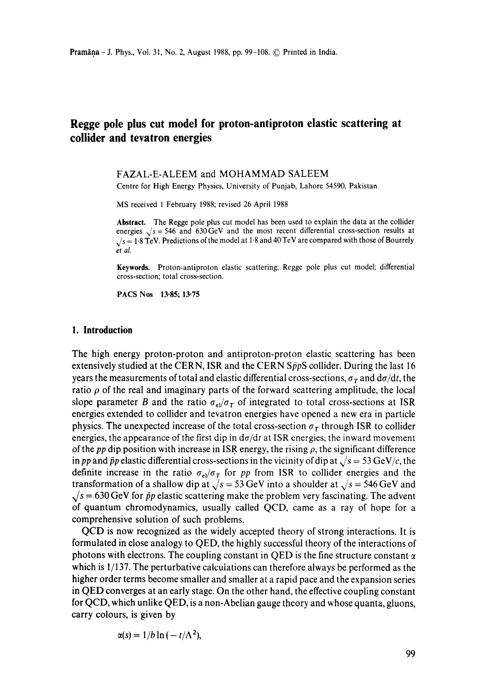# **Regge pole plus cut model for proton-antiproton elastic scattering at collider and tevatron energies**

#### FAZAL-E-ALEEM and MOHAMMAD SALEEM

Centre for High Energy Physics, University of Punjab, Lahore 54590, Pakistan

MS received 1 February 1988; revised 26 April 1988

**Abstract.** The Regge pole plus cut model has been used to explain the data at the collider energies  $\sqrt{s}$  = 546 and 630GeV and the most recent differential cross-section results at  $\sqrt{s}$  = 1.8 TeV. Predictions of the model at 1.8 and 40 TeV are compared with those of Bourrely *et al.* 

**Keywords.** Proton-antiproton elastic scattering; Regge pole plus cut model: differential cross-section; total cross-section.

**PACS Nos** 13.85; 13.75

## **1. Introduction**

The high energy proton-proton and antiproton-proton elastic scattering has been extensively studied at the CERN, ISR and the CERN  $S\bar{p}pS$  collider. During the last 16 years the measurements of total and elastic differential cross-sections,  $\sigma_T$  and  $d\sigma/dt$ , the ratio  $\rho$  of the real and imaginary parts of the forward scattering amplitude, the local slope parameter B and the ratio  $\sigma_{el}/\sigma_T$  of integrated to total cross-sections at ISR energies extended to collider and tevatron energies have opened a new era in particle physics. The unexpected increase of the total cross-section  $\sigma_T$  through ISR to collider energies, the appearance of the first dip in  $d\sigma/dt$  at ISR energies, the inward movement of the *pp* dip position with increase in ISR energy, the rising  $\rho$ , the significant difference in *pp* and  $\bar{p}p$  elastic differential cross-sections in the vicinity of dip at  $\sqrt{s} = 53 \text{ GeV}/c$ , the definite increase in the ratio  $\sigma_{el}/\sigma_T$  for pp from ISR to collider energies and the transformation of a shallow dip at  $\sqrt{s}$  = 53 GeV into a shoulder at  $\sqrt{s}$  = 546 GeV and  $\sqrt{s}$  = 630 GeV for  $\bar{p}p$  elastic scattering make the problem very fascinating. The advent of quantum chromodynamics, usually called QCD, came as a ray of hope for a comprehensive solution of such problems.

QCD is now recognized as the widely accepted theory of strong interactions. It is formulated in close analogy to QED, the highly successful theory of the interactions of photons with electrons. The coupling constant in QED is the fine structure constant  $\alpha$ which is 1/137. The perturbative calculations can therefore always be performed as the higher order terms become smaller and smaller at a rapid pace and the expansion series in QED converges at an early stage. On the other hand, the effective coupling constant for QCD, which unlike QED, is a non-Abelian gauge theory and whose quanta, gluons, carry colours, is given by

$$
\alpha(s) = 1/b \ln(-t/\Lambda^2),
$$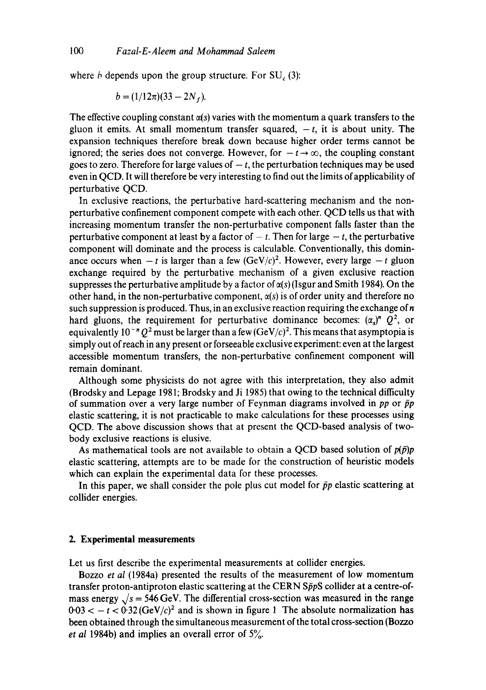where  $\dot{b}$  depends upon the group structure. For SU<sub> $c$ </sub> (3):

$$
b = (1/12\pi)(33 - 2N_f).
$$

The effective coupling constant  $\alpha(s)$  varies with the momentum a quark transfers to the gluon it emits. At small momentum transfer squared,  $-t$ , it is about unity. The expansion techniques therefore break down because higher order terms cannot be ignored; the series does not converge. However, for  $-t \rightarrow \infty$ , the coupling constant goes to zero. Therefore for large values of  $-t$ , the perturbation techniques may be used even in QCD. It will therefore be very interesting to find out the limits of applicability of perturbative QCD.

In exclusive reactions, the perturbative hard-scattering mechanism and the nonperturbative confinement component compete with each other. QCD tells us that with increasing momentum transfer the non-perturbative component falls faster than the perturbative component at least by a factor of  $-t$ . Then for large  $-t$ , the perturbative component will dominate and the process is calculable. Conventionally, this dominance occurs when  $-t$  is larger than a few  $(GeV/c)^2$ . However, every large  $-t$  gluon exchange required by the perturbative mechanism of a given exclusive reaction suppresses the perturbative amplitude by a factor of  $\alpha(s)$  (Isgur and Smith 1984). On the other hand, in the non-perturbative component,  $\alpha(s)$  is of order unity and therefore no such suppression is produced. Thus, in an exclusive reaction requiring the exchange of  $n$ hard gluons, the requirement for perturbative dominance becomes:  $(\alpha_s)^n Q^2$ , or equivalently  $10^{-n}$  Q<sup>2</sup> must be larger than a few (GeV/c)<sup>2</sup>. This means that asymptopia is simply out of reach in any present or forseeable exclusive experiment: even at the largest accessible momentum transfers, the non-perturbative confinement component will remain dominant.

Although some physicists do not agree with this interpretation, they also admit (Brodsky and Lepage 1981; Brodsky and Ji 1985) that owing to the technical difficulty of summation over a very large number of Feynman diagrams involved in *pp* or  $\bar{p}p$ elastic scattering, it is not practicable to make calculations for these processes using QCD. The above discussion shows that at present the QCD-based analysis of twobody exclusive reactions is elusive.

As mathematical tools are not available to obtain a QCD based solution of  $p(\bar{p})p$ elastic scattering, attempts are to be made for the construction of heuristic models which can explain the experimental data for these processes.

In this paper, we shall consider the pole plus cut model for  $\bar{p}p$  elastic scattering at collider energies.

# **2. Experimental measurements**

Let us first describe the experimental measurements at collider energies.

Bozzo *et al* (1984a) presented the results of the measurement of low momentum transfer proton-antiproton elastic scattering at the CERN  $S\bar{p}pS$  collider at a centre-ofmass energy  $\sqrt{s}$  = 546 GeV. The differential cross-section was measured in the range  $0.03 < -t < 0.32$  (GeV/c)<sup>2</sup> and is shown in figure 1 The absolute normalization has been obtained through the simultaneous measurement of the total cross-section (Bozzo *et al 1984b)* and implies an overall error of 5%.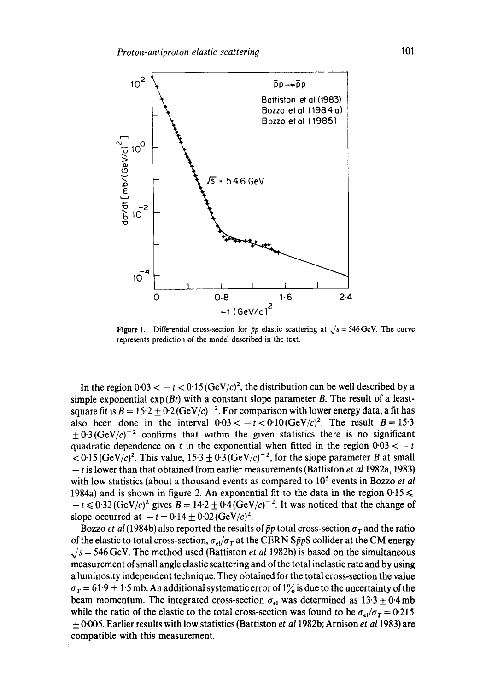

**Figure 1.** Differential cross-section for  $\bar{p}p$  elastic scattering at  $\sqrt{s} = 546 \text{ GeV}$ . The curve represents prediction of the model described in the text.

In the region  $0.03 < -t < 0.15$  (GeV/c)<sup>2</sup>, the distribution can be well described by a simple exponential  $exp(Bt)$  with a constant slope parameter B. The result of a leastsquare fit is  $B = 15.2 \pm 0.2$  (GeV/c)<sup>-2</sup>. For comparison with lower energy data, a fit has also been done in the interval  $0.03 < -t < 0.10$  (GeV/c)<sup>2</sup>. The result  $B = 15.3$  $+ 0.3$  (GeV/c)<sup>-2</sup> confirms that within the given statistics there is no significant quadratic dependence on t in the exponential when fitted in the region  $0.03 < -t$  $\langle 0.15(GeV/c)^2$ . This value,  $15.3 \pm 0.3(GeV/c)^{-2}$ , for the slope parameter B at small **-** t is lower than that obtained from earlier measurements (Battiston *et a11982a,* 1983) with low statistics (about a thousand events as compared to 10<sup>5</sup> events in Bozzo *et al* 1984a) and is shown in figure 2. An exponential fit to the data in the region  $0.15 \le$  $-t \leq 0.32$  (GeV/c)<sup>2</sup> gives  $B = 14.2 \pm 0.4$  (GeV/c)<sup>-2</sup>. It was noticed that the change of slope occurred at  $-t = 0.14 \pm 0.02$  (GeV/c)<sup>2</sup>.

Bozzo *et al* (1984b) also reported the results of  $\bar{p}p$  total cross-section  $\sigma_T$  and the ratio of the elastic to total cross-section,  $\sigma_{el}/\sigma_T$  at the CERN SppS collider at the CM energy  $\sqrt{s}$  = 546 GeV. The method used (Battiston *et al* 1982b) is based on the simultaneous measurement of small angle elastic scattering and of the total inelastic rate and by using a luminosity independent technique. They obtained for the total cross-section the value  $\sigma_T = 61.9 \pm 1.5$  mb. An additional systematic error of 1% is due to the uncertainty of the beam momentum. The integrated cross-section  $\sigma_{el}$  was determined as 13.3  $\pm$  0.4 mb while the ratio of the elastic to the total cross-section was found to be  $\sigma_{el}/\sigma_T = 0.215$ \_\_\_ 0.005. Earlier results with low statistics (Battiston *et a11982b;* Arnison *et a11983)* are compatible with this measurement.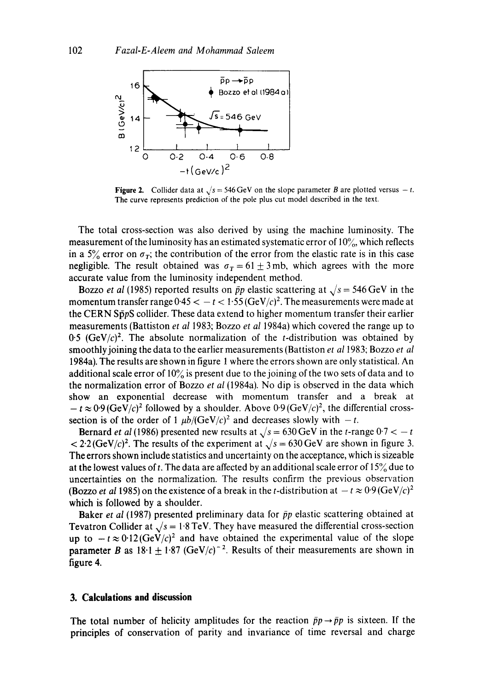

Figure 2. Collider data at  $\sqrt{s}$  = 546 GeV on the slope parameter B are plotted versus  $-t$ . The curve represents prediction of the pole plus cut model described in the text.

The total cross-section was also derived by using the machine luminosity. The measurement of the luminosity has an estimated systematic error of  $10\%$ , which reflects in a 5% error on  $\sigma_T$ ; the contribution of the error from the elastic rate is in this case negligible. The result obtained was  $\sigma_T = 61 \pm 3$  mb, which agrees with the more accurate value from the luminosity independent method.

Bozzo *et al* (1985) reported results on  $\bar{p}p$  elastic scattering at  $\sqrt{s} = 546 \text{ GeV}$  in the momentum transfer range  $0.45 < -t < 1.55$  (GeV/c)<sup>2</sup>. The measurements were made at the CERN SppS collider. These data extend to higher momentum transfer their earlier measurements (Battiston *et al* 1983; Bozzo *et al* 1984a) which covered the range up to 0.5  $(GeV/c)^2$ . The absolute normalization of the *t*-distribution was obtained by smoothly joining the data to the earlier measurements (Battiston *et a11983;* Bozzo *et al*  1984a). The results are shown in figure 1 where the errors shown are only statistical. An additional scale error of  $10\%$  is present due to the joining of the two sets of data and to the normalization error of Bozzo *et al* (1984a). No dip is observed in the data which show an exponential decrease with momentum transfer and a break at  $-t \approx 0.9$  (GeV/c)<sup>2</sup> followed by a shoulder. Above 0.9 (GeV/c)<sup>2</sup>, the differential crosssection is of the order of 1  $\mu b/(GeV/c)^2$  and decreases slowly with  $-t$ .

Bernard *et al* (1986) presented new results at  $\sqrt{s} = 630 \,\text{GeV}$  in the *t*-range  $0.7 < -t$  $\langle 2.2(GeV/c)^2$ . The results of the experiment at  $\sqrt{s} = 630 \text{ GeV}$  are shown in figure 3. The errors shown include statistics and uncertainty on the acceptance, which is sizeable at the lowest values of t. The data are affected by an additional scale error of  $15\%$  due to uncertainties on the normalization. The results confirm the previous observation (Bozzo *et al* 1985) on the existence of a break in the *t*-distribution at  $-t \approx 0.9$  (GeV/c)<sup>2</sup> which is followed by a shoulder.

Baker *et al* (1987) presented preliminary data for  $\bar{p}p$  elastic scattering obtained at Tevatron Collider at  $\sqrt{s} = 1.8$  TeV. They have measured the differential cross-section up to  $-t \approx 0.12(\text{GeV}/c)^2$  and have obtained the experimental value of the slope parameter B as  $18.1 + 1.87$  (GeV/c)<sup>-2</sup>. Results of their measurements are shown in figure 4.

# **3. Calculations and discussion**

The total number of helicity amplitudes for the reaction  $\bar{p}p \rightarrow \bar{p}p$  is sixteen. If the principles of conservation of parity and invariance of time reversal and charge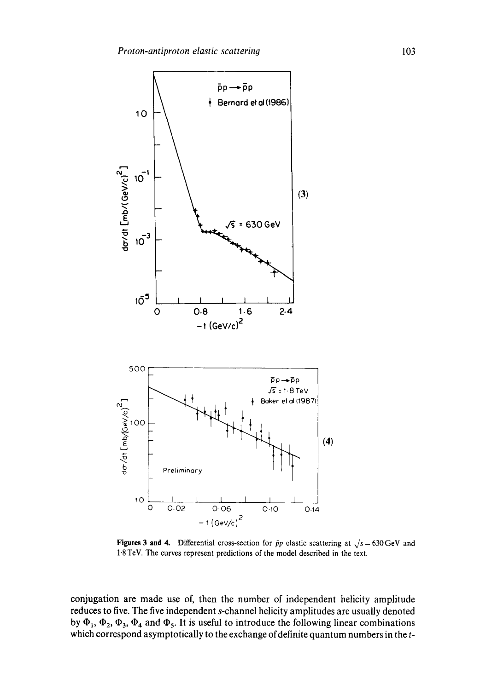

**Figures 3 and 4.** Differential cross-section for  $\bar{p}p$  elastic scattering at  $\sqrt{s} = 630 \text{ GeV}$  and !'8 TeV. The curves represent predictions of the model described in the text.

conjugation are made use of, then the number of independent helicity amplitude reduces to five. The five independent s-channel helicity amplitudes are usually denoted by  $\Phi_1$ ,  $\Phi_2$ ,  $\Phi_3$ ,  $\Phi_4$  and  $\Phi_5$ . It is useful to introduce the following linear combinations which correspond asymptotically to the exchange of definite quantum numbers in the t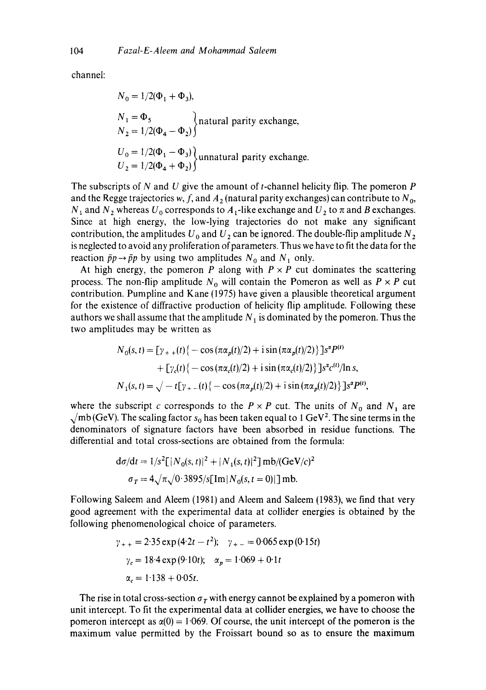channel:

$$
N_0 = 1/2(\Phi_1 + \Phi_3),
$$
  
\n
$$
N_1 = \Phi_5
$$
  
\n
$$
N_2 = 1/2(\Phi_4 - \Phi_2)
$$
  
\n
$$
U_0 = 1/2(\Phi_1 - \Phi_3)
$$
  
\n
$$
U_2 = 1/2(\Phi_4 + \Phi_2)
$$
  
\n
$$
(1.2 \text{ m}
$$

The subscripts of N and U give the amount of t-channel helicity flip. The pomeron  $P$ and the Regge trajectories w, f, and  $A_2$  (natural parity exchanges) can contribute to  $N_0$ ,  $N_1$  and  $N_2$  whereas  $U_0$  corresponds to  $A_1$ -like exchange and  $U_2$  to  $\pi$  and B exchanges. Since at high energy, the low-lying trajectories do not make any significant contribution, the amplitudes  $U_0$  and  $U_2$  can be ignored. The double-flip amplitude  $N_2$ is neglected to avoid any proliferation of parameters. Thus we have to fit the data for the reaction  $\bar{p}p \rightarrow \bar{p}p$  by using two amplitudes  $N_0$  and  $N_1$  only.

At high energy, the pomeron P along with  $P \times P$  cut dominates the scattering process. The non-flip amplitude  $N_0$  will contain the Pomeron as well as  $P \times P$  cut contribution. Pumpline and Kane (1975) have given a plausible theoretical argument for the existence of diffractive production of helicity flip amplitude. Following these authors we shall assume that the amplitude  $N_1$  is dominated by the pomeron. Thus the two amplitudes may be written as

$$
N_0(s, t) = \left[\gamma_{+} + (t)\left\{-\cos(\pi\alpha_p(t)/2) + i\sin(\pi\alpha_p(t)/2)\right\}\right]s^{\alpha}P^{(t)}
$$
  
+ 
$$
\left[\gamma_c(t)\left\{-\cos(\pi\alpha_c(t)/2) + i\sin(\pi\alpha_c(t)/2)\right\}\right]s^{\alpha_c(t)}/\ln s,
$$
  

$$
N_1(s, t) = \sqrt{-t}\left[\gamma_{+} - (t)\left\{-\cos(\pi\alpha_p(t)/2) + i\sin(\pi\alpha_p(t)/2)\right\}\right]s^{\alpha}P^{(t)},
$$

where the subscript c corresponds to the  $P \times P$  cut. The units of  $N_0$  and  $N_1$  are  $\sqrt{mb}$  (GeV). The scaling factor s<sub>0</sub> has been taken equal to 1 GeV<sup>2</sup>. The sine terms in the denominators of signature factors have been absorbed in residue functions. The differential and total cross-sections are obtained from the formula:

$$
d\sigma/dt = 1/s^2 \left[ |N_0(s, t)|^2 + |N_1(s, t)|^2 \right] \text{mb}/(\text{GeV}/c)^2
$$

$$
\sigma_T = 4\sqrt{\pi}\sqrt{0.3895/s} \left[ \text{Im} |N_0(s, t = 0)| \right] \text{mb}.
$$

Following Saleem and Aleem (1981) and Aleem and Saleem (1983), we find that very good agreement with the experimental data at collider energies is obtained by the following phenomenological choice of parameters.

$$
\gamma_{++} = 2.35 \exp(4.2t - t^2); \quad \gamma_{+-} = 0.065 \exp(0.15t)
$$

$$
\gamma_c = 18.4 \exp(9.10t); \quad \alpha_p = 1.069 + 0.1t
$$

$$
\alpha_c = 1.138 + 0.05t.
$$

The rise in total cross-section  $\sigma_r$  with energy cannot be explained by a pomeron with unit intercept. To fit the experimental data at collider energies, we have to choose the pomeron intercept as  $\alpha(0) = 1.069$ . Of course, the unit intercept of the pomeron is the maximum value permitted by the Froissart bound so as to ensure the maximum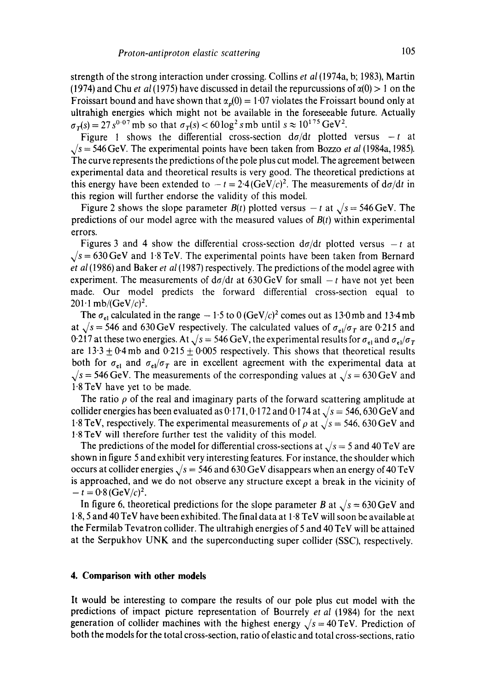strength of the strong interaction under crossing. Collins *et al(1974a,* b; 1983), Martin (1974) and Chu *et al* (1975) have discussed in detail the repurcussions of  $\alpha(0) > 1$  on the Froissart bound and have shown that  $\alpha_n(0) = 1.07$  violates the Froissart bound only at ultrahigh energies which might not be available in the foreseeable future. Actually  $\sigma_T(s) = 27 s^{0.07}$  mb so that  $\sigma_T(s) < 60 \log^2 s$  mb until  $s \approx 10^{175}$  GeV<sup>2</sup>.

Figure 1 shows the differential cross-section  $d\sigma/dt$  plotted versus  $-t$  at  $\sqrt{s}$  = 546 GeV. The experimental points have been taken from Bozzo *et al* (1984a, 1985). The curve represents the predictions of the pole plus cut model. The agreement between experimental data and theoretical results is very good. The theoretical predictions at this energy have been extended to  $-t = 2.4 \, (\text{GeV}/c)^2$ . The measurements of  $d\sigma/dt$  in this region will further endorse the validity of this model.

Figure 2 shows the slope parameter  $B(t)$  plotted versus  $-t$  at  $\sqrt{s} = 546 \text{ GeV}$ . The predictions of our model agree with the measured values of *B(t)* within experimental errors.

Figures 3 and 4 show the differential cross-section  $d\sigma/dt$  plotted versus  $-t$  at  $\sqrt{s}$  = 630 GeV and 1.8 TeV. The experimental points have been taken from Bernard *et al* (1986) and Baker *et al* (1987) respectively. The predictions of the model agree with experiment. The measurements of  $d\sigma/dt$  at 630 GeV for small  $-t$  have not yet been made. Our model predicts the forward differential cross-section equal to  $201 \cdot 1$  mb/(GeV/c)<sup>2</sup>.

The  $\sigma_{el}$  calculated in the range  $-1.5$  to 0 *(GeV/c)<sup>2</sup>* comes out as 13.0mb and 13.4mb at  $\sqrt{s}$  = 546 and 630 GeV respectively. The calculated values of  $\sigma_{el}/\sigma_T$  are 0.215 and 0.217 at these two energies. At  $\sqrt{s} = 546$  GeV, the experimental results for  $\sigma_{el}$  and  $\sigma_{el}/\sigma_T$ are  $13.3 \pm 0.4$  mb and  $0.215 \pm 0.005$  respectively. This shows that theoretical results both for  $\sigma_{el}$  and  $\sigma_{el}/\sigma_T$  are in excellent agreement with the experimental data at  $\sqrt{s}$  = 546 GeV. The measurements of the corresponding values at  $\sqrt{s}$  = 630 GeV and 1.8 TeV have yet to be made.

The ratio  $\rho$  of the real and imaginary parts of the forward scattering amplitude at collider energies has been evaluated as 0.171, 0.172 and 0.174 at  $\sqrt{s} = 546, 630$  GeV and 1.8 TeV, respectively. The experimental measurements of  $\rho$  at  $\sqrt{s} = 546, 630 \text{ GeV}$  and 1.8 TeV will therefore further test the validity of this model.

The predictions of the model for differential cross-sections at  $\sqrt{s} = 5$  and 40 TeV are shown in figure 5 and exhibit very interesting features. For instance, the shoulder which occurs at collider energies  $\sqrt{s}$  = 546 and 630 GeV disappears when an energy of 40 TeV is approached, and we do not observe any structure except a break in the vicinity of  $- t = 0.8 \, (\text{GeV}/c)^2$ .

In figure 6, theoretical predictions for the slope parameter B at  $\sqrt{s} = 630 \text{ GeV}$  and 1'8, 5 and 40 TeV have been exhibited. The final data at 1.8 TeV will soon be available at the Fermilab Tevatron collider. The ultrahigh energies of 5 and 40 YeV will be attained at the Serpukhov UNK and the superconducting super collider (SSC), respectively.

#### **4. Comparison with other models**

It would be interesting to compare the results of our pole plus cut model with the predictions of impact picture representation of Bourrely *et al* (1984) for the next generation of collider machines with the highest energy  $\sqrt{s} = 40 \text{ TeV}$ . Prediction of both the models for the total cross-section, ratio of elastic and total cross-sections, ratio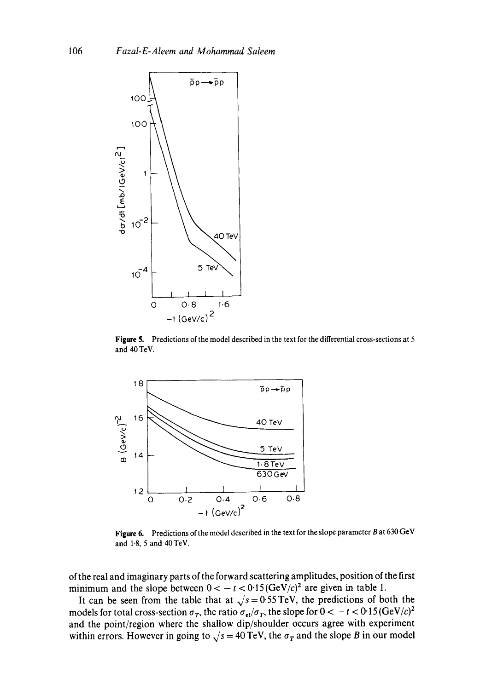

Figure 5. Predictions of the model described in the text for the differential cross-sections at 5 and 40 TeV.



Figure 6. Predictions of the model described in the text for the slope parameter B at 630 GeV and 1.8, 5 and 40TeV.

of the real and imaginary parts of the forward scattering amplitudes, position of the first minimum and the slope between  $0 < -t < 0.15$  (GeV/c)<sup>2</sup> are given in table 1.

It can be seen from the table that at  $\sqrt{s} = 0.55$  TeV, the predictions of both the models for total cross-section  $\sigma_T$ , the ratio  $\sigma_{el}/\sigma_T$ , the slope for  $0 < -t < 0.15$  (GeV/c)<sup>2</sup> and the point/region where the shallow dip/shoulder occurs agree with experiment within errors. However in going to  $\sqrt{s} = 40 \text{ TeV}$ , the  $\sigma_T$  and the slope B in our model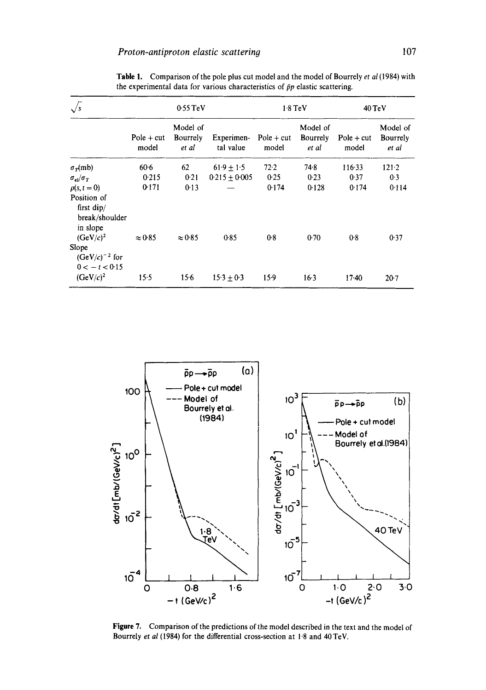|                                                                                 | $0.55$ TeV            |                               |                         | $1.8$ TeV             |                               | 40 TeV                |                               |
|---------------------------------------------------------------------------------|-----------------------|-------------------------------|-------------------------|-----------------------|-------------------------------|-----------------------|-------------------------------|
|                                                                                 | $Pole + cut$<br>model | Model of<br>Bourrely<br>et al | Experimen-<br>tal value | $Pole + cut$<br>model | Model of<br>Bourrely<br>et al | $Pole + cut$<br>model | Model of<br>Bourrely<br>et al |
| $\sigma_{\tau}(mb)$                                                             | 60.6                  | 62                            | $61.9 + 1.5$            | 72.2                  | 74.8                          | 116.33                | 121.2                         |
| $\sigma_{el}/\sigma_{T}$                                                        | 0.215                 | 0.21                          | $0.215 + 0.005$         | 0.25                  | 0.23                          | 0.37                  | 0.3                           |
| $\rho(s,t=0)$                                                                   | 0.171                 | 0.13                          |                         | 0.174                 | 0.128                         | 0.174                 | 0.114                         |
| Position of<br>first $\text{dip}/$<br>break/shoulder<br>in slope<br>$(GeV/c)^2$ | $\approx 0.85$        | $\approx 0.85$                | 0.85                    | 0.8                   | 0.70                          | 0.8                   | 0.37                          |
| Slope<br>$(GeV/c)^{-2}$ for<br>$0 < -t < 0.15$                                  |                       |                               |                         |                       |                               |                       |                               |
| $(GeV/c)^2$                                                                     | 15.5                  | 15.6                          | $15.3 + 0.3$            | $15-9$                | $16-3$                        | $17-40$               | $20-7$                        |

Table 1. Comparison of the pole plus cut model and the model of Bourrely *et al* (1984) with the experimental data for various characteristics of  $\bar{p}p$  elastic scattering.



Figure 7. Comparison of the predictions of the model described in the text and the model of Bourrely *et al* (1984) for the differential cross-section at 1.8 and 40 TeV.